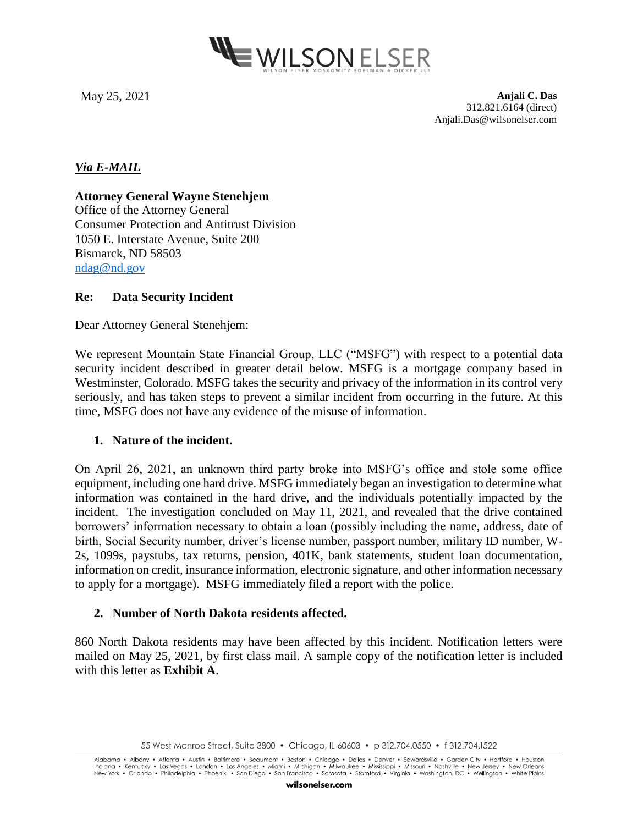

May 25, 2021 **Anjali C. Das** 312.821.6164 (direct) Anjali.Das@wilsonelser.com

# *Via E-MAIL*

**Attorney General Wayne Stenehjem** Office of the Attorney General Consumer Protection and Antitrust Division 1050 E. Interstate Avenue, Suite 200 Bismarck, ND 58503

[ndag@nd.gov](mailto:ndag@nd.gov)

## **Re: Data Security Incident**

Dear Attorney General Stenehjem:

We represent Mountain State Financial Group, LLC ("MSFG") with respect to a potential data security incident described in greater detail below. MSFG is a mortgage company based in Westminster, Colorado. MSFG takes the security and privacy of the information in its control very seriously, and has taken steps to prevent a similar incident from occurring in the future. At this time, MSFG does not have any evidence of the misuse of information.

### **1. Nature of the incident.**

On April 26, 2021, an unknown third party broke into MSFG's office and stole some office equipment, including one hard drive. MSFG immediately began an investigation to determine what information was contained in the hard drive, and the individuals potentially impacted by the incident. The investigation concluded on May 11, 2021, and revealed that the drive contained borrowers' information necessary to obtain a loan (possibly including the name, address, date of birth, Social Security number, driver's license number, passport number, military ID number, W-2s, 1099s, paystubs, tax returns, pension, 401K, bank statements, student loan documentation, information on credit, insurance information, electronic signature, and other information necessary to apply for a mortgage). MSFG immediately filed a report with the police.

### **2. Number of North Dakota residents affected.**

860 North Dakota residents may have been affected by this incident. Notification letters were mailed on May 25, 2021, by first class mail. A sample copy of the notification letter is included with this letter as **Exhibit A**.

<sup>55</sup> West Monroe Street, Suite 3800 · Chicago, IL 60603 · p 312.704.0550 · f 312.704.1522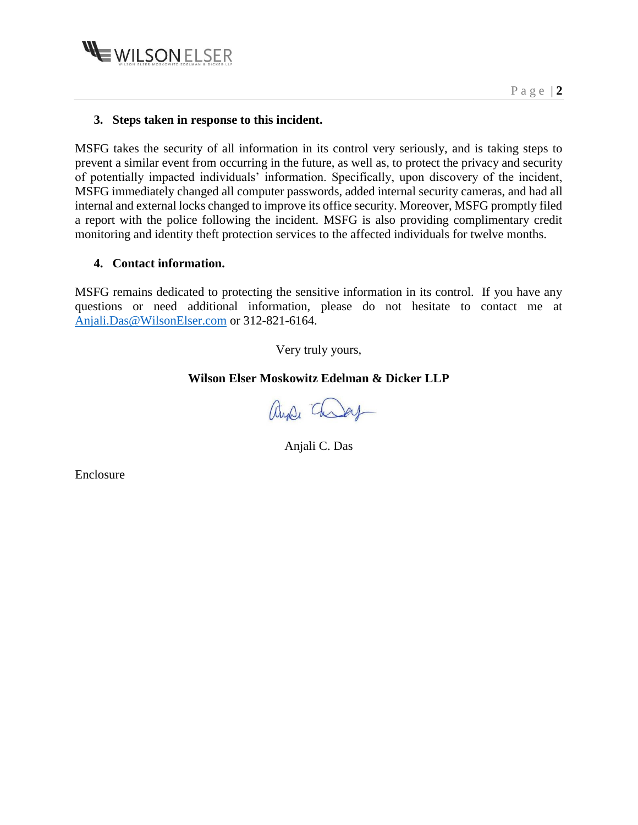

#### **3. Steps taken in response to this incident.**

MSFG takes the security of all information in its control very seriously, and is taking steps to prevent a similar event from occurring in the future, as well as, to protect the privacy and security of potentially impacted individuals' information. Specifically, upon discovery of the incident, MSFG immediately changed all computer passwords, added internal security cameras, and had all internal and external locks changed to improve its office security. Moreover, MSFG promptly filed a report with the police following the incident. MSFG is also providing complimentary credit monitoring and identity theft protection services to the affected individuals for twelve months.

#### **4. Contact information.**

MSFG remains dedicated to protecting the sensitive information in its control. If you have any questions or need additional information, please do not hesitate to contact me at [Anjali.Das@WilsonElser.com](mailto:Anjali.Das@WilsonElser.com) or 312-821-6164.

Very truly yours,

### **Wilson Elser Moskowitz Edelman & Dicker LLP**

aups Chray

Anjali C. Das

Enclosure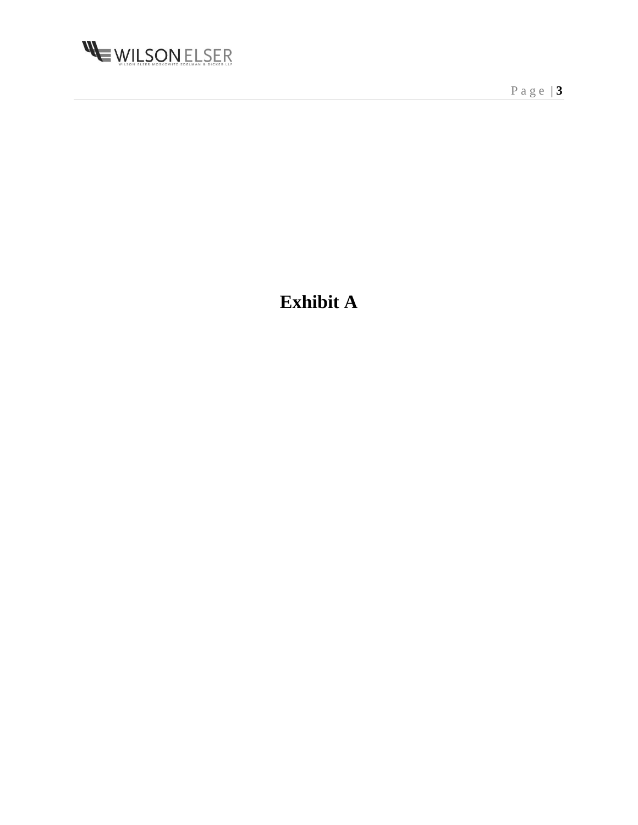

P a g e | **3**

# **Exhibit A**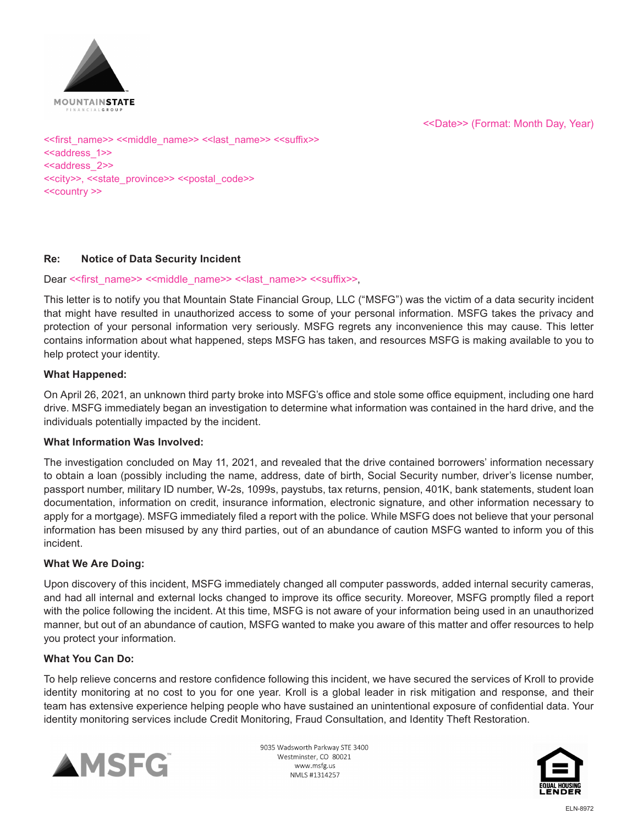

<<Date>> (Format: Month Day, Year)

<<first\_name>> <<middle\_name>> <<last\_name>> <<suffix>> <<address\_1>> <<address\_2>> <<city>>, <<state\_province>> <<postal\_code>> <<country >>

#### **Re: Notice of Data Security Incident**

#### Dear << first\_name>> <<middle\_name>> << last\_name>> <<suffix>>,

This letter is to notify you that Mountain State Financial Group, LLC ("MSFG") was the victim of a data security incident that might have resulted in unauthorized access to some of your personal information. MSFG takes the privacy and protection of your personal information very seriously. MSFG regrets any inconvenience this may cause. This letter contains information about what happened, steps MSFG has taken, and resources MSFG is making available to you to help protect your identity.

#### **What Happened:**

On April 26, 2021, an unknown third party broke into MSFG's office and stole some office equipment, including one hard drive. MSFG immediately began an investigation to determine what information was contained in the hard drive, and the individuals potentially impacted by the incident.

#### **What Information Was Involved:**

The investigation concluded on May 11, 2021, and revealed that the drive contained borrowers' information necessary to obtain a loan (possibly including the name, address, date of birth, Social Security number, driver's license number, passport number, military ID number, W-2s, 1099s, paystubs, tax returns, pension, 401K, bank statements, student loan documentation, information on credit, insurance information, electronic signature, and other information necessary to apply for a mortgage). MSFG immediately filed a report with the police. While MSFG does not believe that your personal information has been misused by any third parties, out of an abundance of caution MSFG wanted to inform you of this incident.

#### **What We Are Doing:**

Upon discovery of this incident, MSFG immediately changed all computer passwords, added internal security cameras, and had all internal and external locks changed to improve its office security. Moreover, MSFG promptly filed a report with the police following the incident. At this time, MSFG is not aware of your information being used in an unauthorized manner, but out of an abundance of caution, MSFG wanted to make you aware of this matter and offer resources to help you protect your information.

#### **What You Can Do:**

To help relieve concerns and restore confidence following this incident, we have secured the services of Kroll to provide identity monitoring at no cost to you for one year. Kroll is a global leader in risk mitigation and response, and their team has extensive experience helping people who have sustained an unintentional exposure of confidential data. Your identity monitoring services include Credit Monitoring, Fraud Consultation, and Identity Theft Restoration.



9035 Wadsworth Parkway STE 3400 Westminster, CO 80021 www msfg us NMLS #1314257

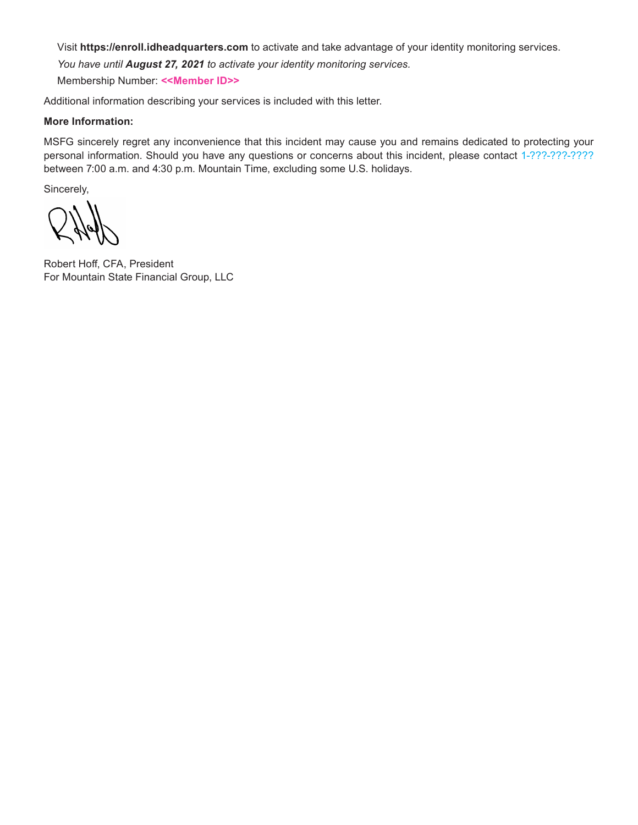Visit **https://enroll.idheadquarters.com** to activate and take advantage of your identity monitoring services.

*You have until August 27, 2021 to activate your identity monitoring services.* Membership Number: **<<Member ID>>**

Additional information describing your services is included with this letter.

#### **More Information:**

MSFG sincerely regret any inconvenience that this incident may cause you and remains dedicated to protecting your personal information. Should you have any questions or concerns about this incident, please contact 1-???-???-????? between 7:00 a.m. and 4:30 p.m. Mountain Time, excluding some U.S. holidays.

Sincerely,

Robert Hoff, CFA, President For Mountain State Financial Group, LLC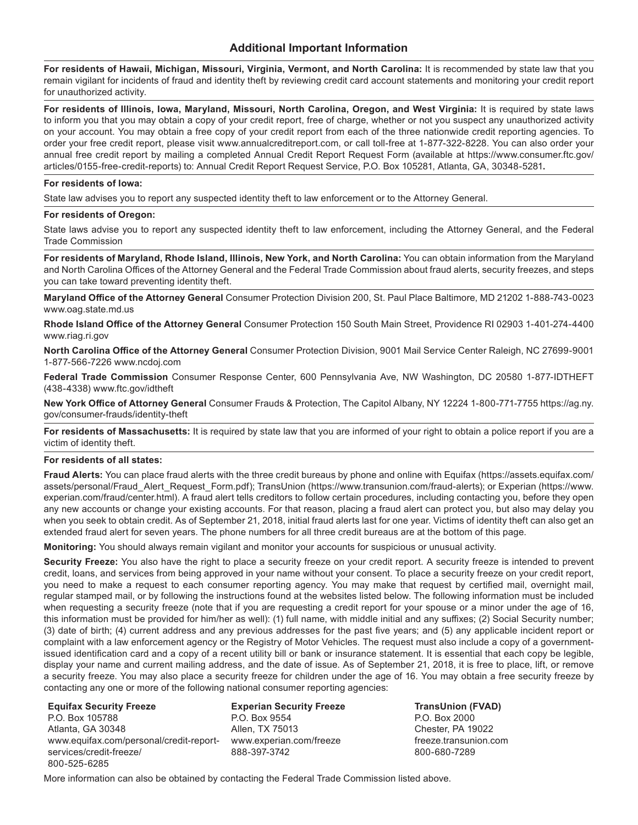#### **Additional Important Information**

**For residents of Hawaii, Michigan, Missouri, Virginia, Vermont, and North Carolina:** It is recommended by state law that you remain vigilant for incidents of fraud and identity theft by reviewing credit card account statements and monitoring your credit report for unauthorized activity.

**For residents of Illinois, Iowa, Maryland, Missouri, North Carolina, Oregon, and West Virginia:** It is required by state laws to inform you that you may obtain a copy of your credit report, free of charge, whether or not you suspect any unauthorized activity on your account. You may obtain a free copy of your credit report from each of the three nationwide credit reporting agencies. To order your free credit report, please visit www.annualcreditreport.com, or call toll-free at 1-877-322-8228. You can also order your annual free credit report by mailing a completed Annual Credit Report Request Form (available at https://www.consumer.ftc.gov/ articles/0155-free-credit-reports) to: Annual Credit Report Request Service, P.O. Box 105281, Atlanta, GA, 30348-5281**.**

#### **For residents of Iowa:**

State law advises you to report any suspected identity theft to law enforcement or to the Attorney General.

#### **For residents of Oregon:**

State laws advise you to report any suspected identity theft to law enforcement, including the Attorney General, and the Federal Trade Commission

**For residents of Maryland, Rhode Island, Illinois, New York, and North Carolina:** You can obtain information from the Maryland and North Carolina Offices of the Attorney General and the Federal Trade Commission about fraud alerts, security freezes, and steps you can take toward preventing identity theft.

**Maryland Office of the Attorney General** Consumer Protection Division 200, St. Paul Place Baltimore, MD 21202 1-888-743-0023 www.oag.state.md.us

**Rhode Island Office of the Attorney General** Consumer Protection 150 South Main Street, Providence RI 02903 1-401-274-4400 www.riag.ri.gov

**North Carolina Office of the Attorney General** Consumer Protection Division, 9001 Mail Service Center Raleigh, NC 27699-9001 1-877-566-7226 www.ncdoj.com

**Federal Trade Commission** Consumer Response Center, 600 Pennsylvania Ave, NW Washington, DC 20580 1-877-IDTHEFT (438-4338) www.ftc.gov/idtheft

**New York Office of Attorney General** Consumer Frauds & Protection, The Capitol Albany, NY 12224 1-800-771-7755 https://ag.ny. gov/consumer-frauds/identity-theft

**For residents of Massachusetts:** It is required by state law that you are informed of your right to obtain a police report if you are a victim of identity theft.

#### **For residents of all states:**

**Fraud Alerts:** You can place fraud alerts with the three credit bureaus by phone and online with Equifax (https://assets.equifax.com/ assets/personal/Fraud\_Alert\_Request\_Form.pdf); TransUnion (https://www.transunion.com/fraud-alerts); or Experian (https://www. experian.com/fraud/center.html). A fraud alert tells creditors to follow certain procedures, including contacting you, before they open any new accounts or change your existing accounts. For that reason, placing a fraud alert can protect you, but also may delay you when you seek to obtain credit. As of September 21, 2018, initial fraud alerts last for one year. Victims of identity theft can also get an extended fraud alert for seven years. The phone numbers for all three credit bureaus are at the bottom of this page.

**Monitoring:** You should always remain vigilant and monitor your accounts for suspicious or unusual activity.

**Security Freeze:** You also have the right to place a security freeze on your credit report. A security freeze is intended to prevent credit, loans, and services from being approved in your name without your consent. To place a security freeze on your credit report, you need to make a request to each consumer reporting agency. You may make that request by certified mail, overnight mail, regular stamped mail, or by following the instructions found at the websites listed below. The following information must be included when requesting a security freeze (note that if you are requesting a credit report for your spouse or a minor under the age of 16, this information must be provided for him/her as well): (1) full name, with middle initial and any suffixes; (2) Social Security number; (3) date of birth; (4) current address and any previous addresses for the past five years; and (5) any applicable incident report or complaint with a law enforcement agency or the Registry of Motor Vehicles. The request must also include a copy of a governmentissued identification card and a copy of a recent utility bill or bank or insurance statement. It is essential that each copy be legible, display your name and current mailing address, and the date of issue. As of September 21, 2018, it is free to place, lift, or remove a security freeze. You may also place a security freeze for children under the age of 16. You may obtain a free security freeze by contacting any one or more of the following national consumer reporting agencies:

#### **Equifax Security Freeze**

P.O. Box 105788 Atlanta, GA 30348 www.equifax.com/personal/credit-reportservices/credit-freeze/ 800-525-6285

**Experian Security Freeze** P.O. Box 9554 Allen, TX 75013 www.experian.com/freeze 888-397-3742

**TransUnion (FVAD)** P.O. Box 2000 Chester, PA 19022 freeze.transunion.com 800-680-7289

More information can also be obtained by contacting the Federal Trade Commission listed above.